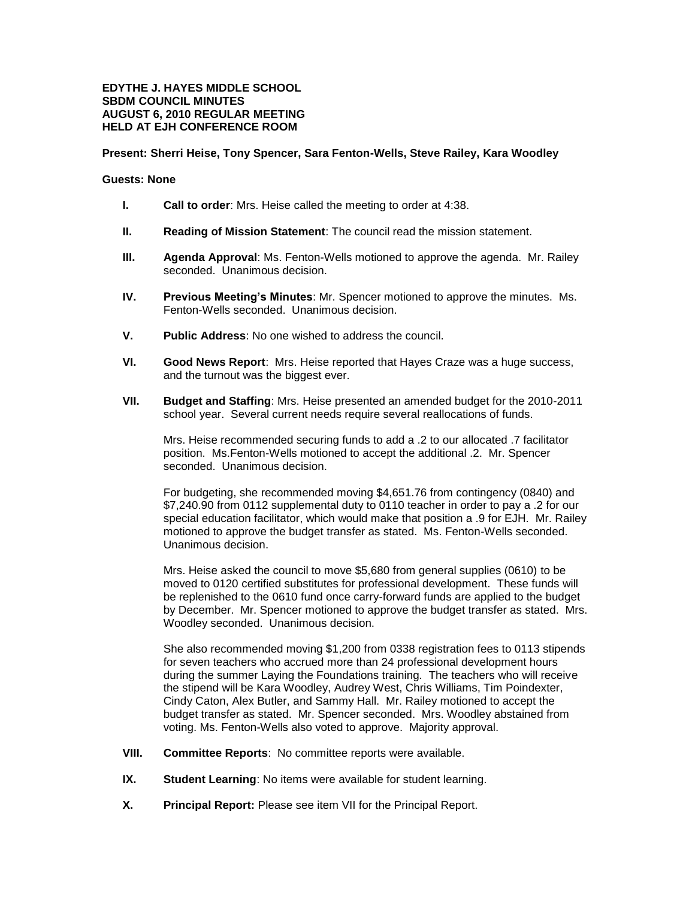## **EDYTHE J. HAYES MIDDLE SCHOOL SBDM COUNCIL MINUTES AUGUST 6, 2010 REGULAR MEETING HELD AT EJH CONFERENCE ROOM**

## **Present: Sherri Heise, Tony Spencer, Sara Fenton-Wells, Steve Railey, Kara Woodley**

## **Guests: None**

- **I. Call to order**: Mrs. Heise called the meeting to order at 4:38.
- **II. Reading of Mission Statement**: The council read the mission statement.
- **III. Agenda Approval**: Ms. Fenton-Wells motioned to approve the agenda. Mr. Railey seconded. Unanimous decision.
- **IV. Previous Meeting's Minutes**: Mr. Spencer motioned to approve the minutes. Ms. Fenton-Wells seconded. Unanimous decision.
- **V. Public Address**: No one wished to address the council.
- **VI. Good News Report**: Mrs. Heise reported that Hayes Craze was a huge success, and the turnout was the biggest ever.
- **VII. Budget and Staffing**: Mrs. Heise presented an amended budget for the 2010-2011 school year. Several current needs require several reallocations of funds.

Mrs. Heise recommended securing funds to add a .2 to our allocated .7 facilitator position. Ms.Fenton-Wells motioned to accept the additional .2. Mr. Spencer seconded. Unanimous decision.

For budgeting, she recommended moving \$4,651.76 from contingency (0840) and \$7,240.90 from 0112 supplemental duty to 0110 teacher in order to pay a .2 for our special education facilitator, which would make that position a .9 for EJH. Mr. Railey motioned to approve the budget transfer as stated. Ms. Fenton-Wells seconded. Unanimous decision.

Mrs. Heise asked the council to move \$5,680 from general supplies (0610) to be moved to 0120 certified substitutes for professional development. These funds will be replenished to the 0610 fund once carry-forward funds are applied to the budget by December. Mr. Spencer motioned to approve the budget transfer as stated. Mrs. Woodley seconded. Unanimous decision.

She also recommended moving \$1,200 from 0338 registration fees to 0113 stipends for seven teachers who accrued more than 24 professional development hours during the summer Laying the Foundations training. The teachers who will receive the stipend will be Kara Woodley, Audrey West, Chris Williams, Tim Poindexter, Cindy Caton, Alex Butler, and Sammy Hall. Mr. Railey motioned to accept the budget transfer as stated. Mr. Spencer seconded. Mrs. Woodley abstained from voting. Ms. Fenton-Wells also voted to approve. Majority approval.

- **VIII. Committee Reports**: No committee reports were available.
- **IX. Student Learning**: No items were available for student learning.
- **X. Principal Report:** Please see item VII for the Principal Report.